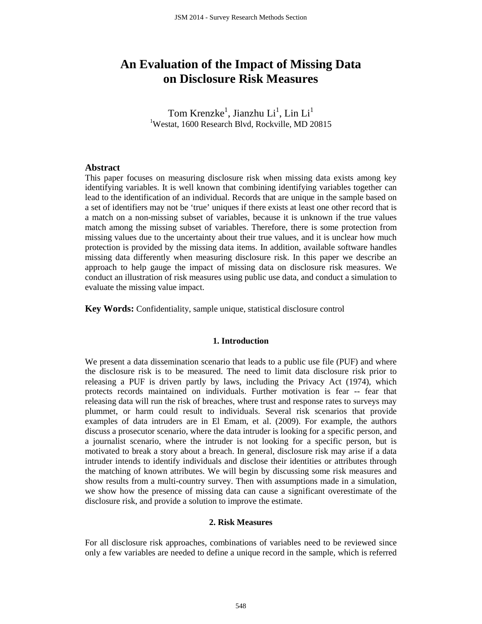# **An Evaluation of the Impact of Missing Data on Disclosure Risk Measures**

Tom Krenzke<sup>1</sup>, Jianzhu Li<sup>1</sup>, Lin Li<sup>1</sup> 1 Westat, 1600 Research Blvd, Rockville, MD 20815

## **Abstract**

This paper focuses on measuring disclosure risk when missing data exists among key identifying variables. It is well known that combining identifying variables together can lead to the identification of an individual. Records that are unique in the sample based on a set of identifiers may not be 'true' uniques if there exists at least one other record that is a match on a non-missing subset of variables, because it is unknown if the true values match among the missing subset of variables. Therefore, there is some protection from missing values due to the uncertainty about their true values, and it is unclear how much protection is provided by the missing data items. In addition, available software handles missing data differently when measuring disclosure risk. In this paper we describe an approach to help gauge the impact of missing data on disclosure risk measures. We conduct an illustration of risk measures using public use data, and conduct a simulation to evaluate the missing value impact.

**Key Words:** Confidentiality, sample unique, statistical disclosure control

#### **1. Introduction**

We present a data dissemination scenario that leads to a public use file (PUF) and where the disclosure risk is to be measured. The need to limit data disclosure risk prior to releasing a PUF is driven partly by laws, including the Privacy Act (1974), which protects records maintained on individuals. Further motivation is fear -- fear that releasing data will run the risk of breaches, where trust and response rates to surveys may plummet, or harm could result to individuals. Several risk scenarios that provide examples of data intruders are in El Emam, et al. (2009). For example, the authors discuss a prosecutor scenario, where the data intruder is looking for a specific person, and a journalist scenario, where the intruder is not looking for a specific person, but is motivated to break a story about a breach. In general, disclosure risk may arise if a data intruder intends to identify individuals and disclose their identities or attributes through the matching of known attributes. We will begin by discussing some risk measures and show results from a multi-country survey. Then with assumptions made in a simulation, we show how the presence of missing data can cause a significant overestimate of the disclosure risk, and provide a solution to improve the estimate.

## **2. Risk Measures**

For all disclosure risk approaches, combinations of variables need to be reviewed since only a few variables are needed to define a unique record in the sample, which is referred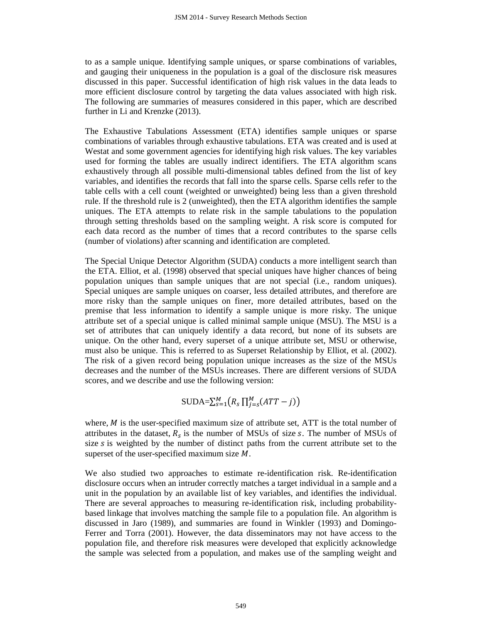to as a sample unique. Identifying sample uniques, or sparse combinations of variables, and gauging their uniqueness in the population is a goal of the disclosure risk measures discussed in this paper. Successful identification of high risk values in the data leads to more efficient disclosure control by targeting the data values associated with high risk. The following are summaries of measures considered in this paper, which are described further in Li and Krenzke (2013).

The Exhaustive Tabulations Assessment (ETA) identifies sample uniques or sparse combinations of variables through exhaustive tabulations. ETA was created and is used at Westat and some government agencies for identifying high risk values. The key variables used for forming the tables are usually indirect identifiers. The ETA algorithm scans exhaustively through all possible multi-dimensional tables defined from the list of key variables, and identifies the records that fall into the sparse cells. Sparse cells refer to the table cells with a cell count (weighted or unweighted) being less than a given threshold rule. If the threshold rule is 2 (unweighted), then the ETA algorithm identifies the sample uniques. The ETA attempts to relate risk in the sample tabulations to the population through setting thresholds based on the sampling weight. A risk score is computed for each data record as the number of times that a record contributes to the sparse cells (number of violations) after scanning and identification are completed.

The Special Unique Detector Algorithm (SUDA) conducts a more intelligent search than the ETA. Elliot, et al. (1998) observed that special uniques have higher chances of being population uniques than sample uniques that are not special (i.e., random uniques). Special uniques are sample uniques on coarser, less detailed attributes, and therefore are more risky than the sample uniques on finer, more detailed attributes, based on the premise that less information to identify a sample unique is more risky. The unique attribute set of a special unique is called minimal sample unique (MSU). The MSU is a set of attributes that can uniquely identify a data record, but none of its subsets are unique. On the other hand, every superset of a unique attribute set, MSU or otherwise, must also be unique. This is referred to as Superset Relationship by Elliot, et al. (2002). The risk of a given record being population unique increases as the size of the MSUs decreases and the number of the MSUs increases. There are different versions of SUDA scores, and we describe and use the following version:

$$
\text{SUBA}=\sum_{s=1}^{M} (R_s \prod_{j=s}^{M} (ATT-j))
$$

where,  $M$  is the user-specified maximum size of attribute set, ATT is the total number of attributes in the dataset,  $R_s$  is the number of MSUs of size s. The number of MSUs of size  $s$  is weighted by the number of distinct paths from the current attribute set to the superset of the user-specified maximum size  $M$ .

We also studied two approaches to estimate re-identification risk. Re-identification disclosure occurs when an intruder correctly matches a target individual in a sample and a unit in the population by an available list of key variables, and identifies the individual. There are several approaches to measuring re-identification risk, including probabilitybased linkage that involves matching the sample file to a population file. An algorithm is discussed in Jaro (1989), and summaries are found in Winkler (1993) and Domingo-Ferrer and Torra (2001). However, the data disseminators may not have access to the population file, and therefore risk measures were developed that explicitly acknowledge the sample was selected from a population, and makes use of the sampling weight and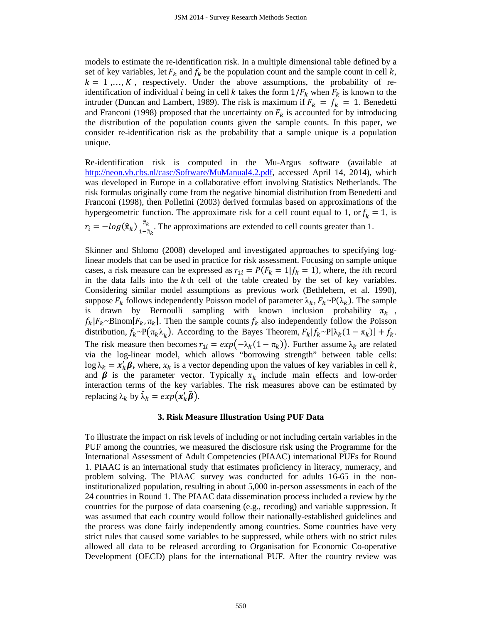models to estimate the re-identification risk. In a multiple dimensional table defined by a set of key variables, let  $F_k$  and  $f_k$  be the population count and the sample count in cell k,  $k = 1, \ldots, K$ , respectively. Under the above assumptions, the probability of reidentification of individual *i* being in cell *k* takes the form  $1/F_k$  when  $F_k$  is known to the intruder (Duncan and Lambert, 1989). The risk is maximum if  $F_k = f_k = 1$ . Benedetti and Franconi (1998) proposed that the uncertainty on  $F_k$  is accounted for by introducing the distribution of the population counts given the sample counts. In this paper, we consider re-identification risk as the probability that a sample unique is a population unique.

Re-identification risk is computed in the Mu-Argus software (available at [http://neon.vb.cbs.nl/casc/Software/MuManual4.2.pdf,](http://neon.vb.cbs.nl/casc/Software/MuManual4.2.pdf) accessed April 14, 2014), which was developed in Europe in a collaborative effort involving Statistics Netherlands. The risk formulas originally come from the negative binomial distribution from Benedetti and Franconi (1998), then Polletini (2003) derived formulas based on approximations of the hypergeometric function. The approximate risk for a cell count equal to 1, or  $f_k = 1$ , is  $r_i = -log(\hat{\pi}_k) \frac{\hat{\pi}_k}{1 - \hat{\pi}_k}$ . The approximations are extended to cell counts greater than 1.

Skinner and Shlomo (2008) developed and investigated approaches to specifying loglinear models that can be used in practice for risk assessment. Focusing on sample unique cases, a risk measure can be expressed as  $r_{1i} = P(F_k = 1 | f_k = 1)$ , where, the *i*th record in the data falls into the  $k$ <sup>th</sup> cell of the table created by the set of key variables. Considering similar model assumptions as previous work (Bethlehem, et al. 1990), suppose  $F_k$  follows independently Poisson model of parameter  $\lambda_k$ ,  $F_k \sim P(\lambda_k)$ . The sample is drawn by Bernoulli sampling with known inclusion probability  $\pi_k$ ,  $f_k|F_k \sim \text{Binom}[F_k, \pi_k]$ . Then the sample counts  $f_k$  also independently follow the Poisson distribution,  $f_k \sim P(\pi_k \lambda_k)$ . According to the Bayes Theorem,  $F_k | f_k \sim P[\lambda_k(1 - \pi_k)] + f_k$ . The risk measure then becomes  $r_{1i} = exp(-\lambda_k(1 - \pi_k))$ . Further assume  $\lambda_k$  are related via the log-linear model, which allows "borrowing strength" between table cells:  $\log \lambda_k = x'_k \beta$ , where,  $x_k$  is a vector depending upon the values of key variables in cell k, and  $\beta$  is the parameter vector. Typically  $x_k$  include main effects and low-order interaction terms of the key variables. The risk measures above can be estimated by replacing  $\lambda_k$  by  $\hat{\lambda}_k = exp(x'_k \hat{\boldsymbol{\beta}}).$ 

### **3. Risk Measure Illustration Using PUF Data**

To illustrate the impact on risk levels of including or not including certain variables in the PUF among the countries, we measured the disclosure risk using the Programme for the International Assessment of Adult Competencies (PIAAC) international PUFs for Round 1. PIAAC is an international study that estimates proficiency in literacy, numeracy, and problem solving. The PIAAC survey was conducted for adults 16-65 in the noninstitutionalized population, resulting in about 5,000 in-person assessments in each of the 24 countries in Round 1. The PIAAC data dissemination process included a review by the countries for the purpose of data coarsening (e.g., recoding) and variable suppression. It was assumed that each country would follow their nationally-established guidelines and the process was done fairly independently among countries. Some countries have very strict rules that caused some variables to be suppressed, while others with no strict rules allowed all data to be released according to Organisation for Economic Co-operative Development (OECD) plans for the international PUF. After the country review was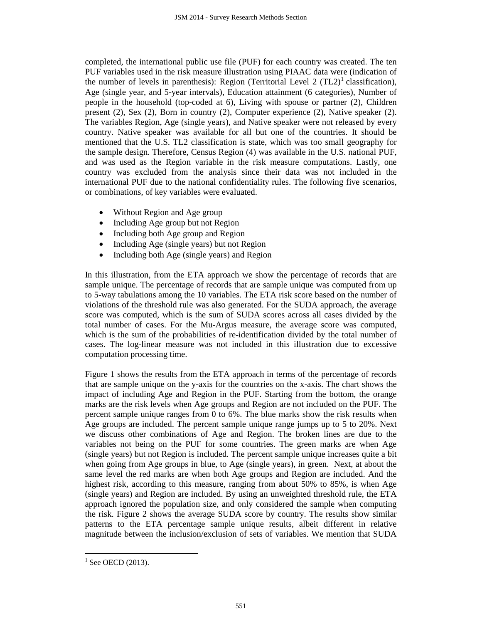completed, the international public use file (PUF) for each country was created. The ten PUF variables used in the risk measure illustration using PIAAC data were (indication of the number of levels in parenthesis): Region (Territorial Level 2  $(TL2)^{1}$  $(TL2)^{1}$  $(TL2)^{1}$  classification), Age (single year, and 5-year intervals), Education attainment (6 categories), Number of people in the household (top-coded at 6), Living with spouse or partner (2), Children present (2), Sex (2), Born in country (2), Computer experience (2), Native speaker (2). The variables Region, Age (single years), and Native speaker were not released by every country. Native speaker was available for all but one of the countries. It should be mentioned that the U.S. TL2 classification is state, which was too small geography for the sample design. Therefore, Census Region (4) was available in the U.S. national PUF, and was used as the Region variable in the risk measure computations. Lastly, one country was excluded from the analysis since their data was not included in the international PUF due to the national confidentiality rules. The following five scenarios, or combinations, of key variables were evaluated.

- Without Region and Age group
- Including Age group but not Region
- Including both Age group and Region
- Including Age (single years) but not Region
- Including both Age (single years) and Region

In this illustration, from the ETA approach we show the percentage of records that are sample unique. The percentage of records that are sample unique was computed from up to 5-way tabulations among the 10 variables. The ETA risk score based on the number of violations of the threshold rule was also generated. For the SUDA approach, the average score was computed, which is the sum of SUDA scores across all cases divided by the total number of cases. For the Mu-Argus measure, the average score was computed, which is the sum of the probabilities of re-identification divided by the total number of cases. The log-linear measure was not included in this illustration due to excessive computation processing time.

Figure 1 shows the results from the ETA approach in terms of the percentage of records that are sample unique on the y-axis for the countries on the x-axis. The chart shows the impact of including Age and Region in the PUF. Starting from the bottom, the orange marks are the risk levels when Age groups and Region are not included on the PUF. The percent sample unique ranges from 0 to 6%. The blue marks show the risk results when Age groups are included. The percent sample unique range jumps up to 5 to 20%. Next we discuss other combinations of Age and Region. The broken lines are due to the variables not being on the PUF for some countries. The green marks are when Age (single years) but not Region is included. The percent sample unique increases quite a bit when going from Age groups in blue, to Age (single years), in green. Next, at about the same level the red marks are when both Age groups and Region are included. And the highest risk, according to this measure, ranging from about 50% to 85%, is when Age (single years) and Region are included. By using an unweighted threshold rule, the ETA approach ignored the population size, and only considered the sample when computing the risk. Figure 2 shows the average SUDA score by country. The results show similar patterns to the ETA percentage sample unique results, albeit different in relative magnitude between the inclusion/exclusion of sets of variables. We mention that SUDA

<span id="page-3-0"></span> $<sup>1</sup>$  See OECD (2013).</sup>  $\overline{a}$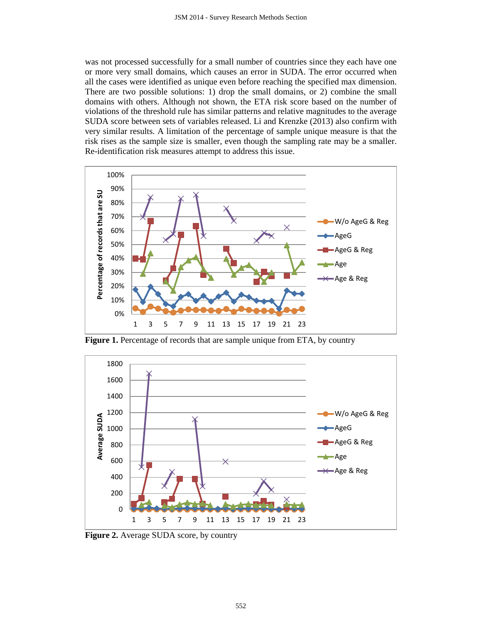was not processed successfully for a small number of countries since they each have one or more very small domains, which causes an error in SUDA. The error occurred when all the cases were identified as unique even before reaching the specified max dimension. There are two possible solutions: 1) drop the small domains, or 2) combine the small domains with others. Although not shown, the ETA risk score based on the number of violations of the threshold rule has similar patterns and relative magnitudes to the average SUDA score between sets of variables released. Li and Krenzke (2013) also confirm with very similar results. A limitation of the percentage of sample unique measure is that the risk rises as the sample size is smaller, even though the sampling rate may be a smaller. Re-identification risk measures attempt to address this issue.



Figure 1. Percentage of records that are sample unique from ETA, by country



**Figure 2.** Average SUDA score, by country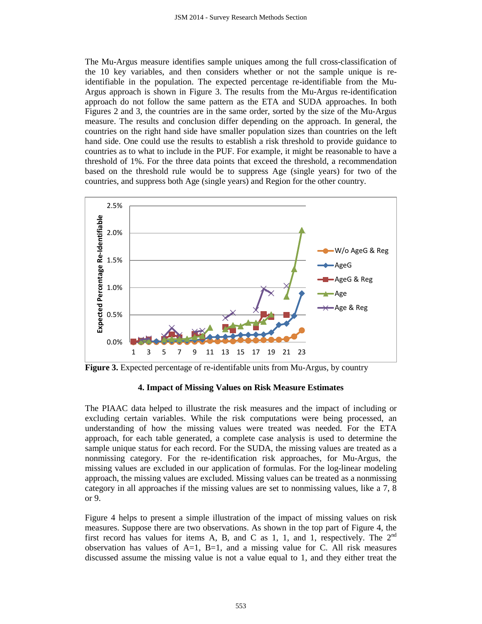The Mu-Argus measure identifies sample uniques among the full cross-classification of the 10 key variables, and then considers whether or not the sample unique is reidentifiable in the population. The expected percentage re-identifiable from the Mu-Argus approach is shown in Figure 3. The results from the Mu-Argus re-identification approach do not follow the same pattern as the ETA and SUDA approaches. In both Figures 2 and 3, the countries are in the same order, sorted by the size of the Mu-Argus measure. The results and conclusion differ depending on the approach. In general, the countries on the right hand side have smaller population sizes than countries on the left hand side. One could use the results to establish a risk threshold to provide guidance to countries as to what to include in the PUF. For example, it might be reasonable to have a threshold of 1%. For the three data points that exceed the threshold, a recommendation based on the threshold rule would be to suppress Age (single years) for two of the countries, and suppress both Age (single years) and Region for the other country.



**Figure 3.** Expected percentage of re-identifable units from Mu-Argus, by country

## **4. Impact of Missing Values on Risk Measure Estimates**

The PIAAC data helped to illustrate the risk measures and the impact of including or excluding certain variables. While the risk computations were being processed, an understanding of how the missing values were treated was needed. For the ETA approach, for each table generated, a complete case analysis is used to determine the sample unique status for each record. For the SUDA, the missing values are treated as a nonmissing category. For the re-identification risk approaches, for Mu-Argus, the missing values are excluded in our application of formulas. For the log-linear modeling approach, the missing values are excluded. Missing values can be treated as a nonmissing category in all approaches if the missing values are set to nonmissing values, like a 7, 8 or 9.

Figure 4 helps to present a simple illustration of the impact of missing values on risk measures. Suppose there are two observations. As shown in the top part of Figure 4, the first record has values for items A, B, and C as 1, 1, and 1, respectively. The  $2<sup>nd</sup>$ observation has values of  $A=1$ ,  $B=1$ , and a missing value for C. All risk measures discussed assume the missing value is not a value equal to 1, and they either treat the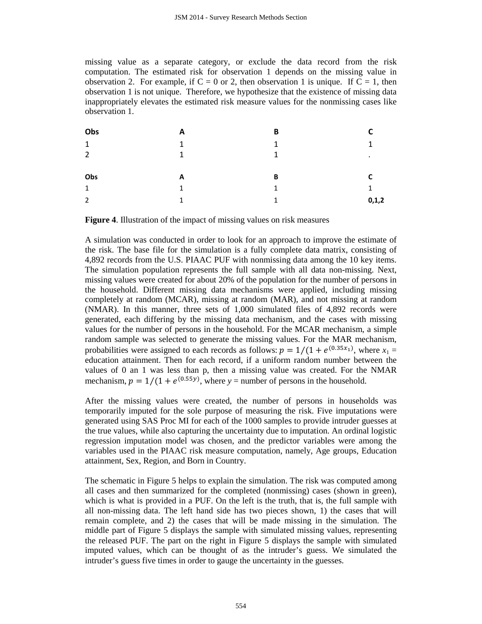missing value as a separate category, or exclude the data record from the risk computation. The estimated risk for observation 1 depends on the missing value in observation 2. For example, if  $C = 0$  or 2, then observation 1 is unique. If  $C = 1$ , then observation 1 is not unique. Therefore, we hypothesize that the existence of missing data inappropriately elevates the estimated risk measure values for the nonmissing cases like observation 1.

| Obs            | A | B |              |
|----------------|---|---|--------------|
| $\mathbf{1}$   | 1 | 1 | 1            |
| $\overline{2}$ | 1 | 1 | $\cdot$      |
|                |   |   |              |
|                |   |   |              |
| Obs            | A | B | C            |
| $\mathbf{1}$   | 1 | 1 | $\mathbf{1}$ |

**Figure 4**. Illustration of the impact of missing values on risk measures

A simulation was conducted in order to look for an approach to improve the estimate of the risk. The base file for the simulation is a fully complete data matrix, consisting of 4,892 records from the U.S. PIAAC PUF with nonmissing data among the 10 key items. The simulation population represents the full sample with all data non-missing. Next, missing values were created for about 20% of the population for the number of persons in the household. Different missing data mechanisms were applied, including missing completely at random (MCAR), missing at random (MAR), and not missing at random (NMAR). In this manner, three sets of 1,000 simulated files of 4,892 records were generated, each differing by the missing data mechanism, and the cases with missing values for the number of persons in the household. For the MCAR mechanism, a simple random sample was selected to generate the missing values. For the MAR mechanism, probabilities were assigned to each records as follows:  $p = 1/(1 + e^{(0.35x_1)})$ , where  $x_1 =$ education attainment. Then for each record, if a uniform random number between the values of 0 an 1 was less than p, then a missing value was created. For the NMAR mechanism,  $p = 1/(1 + e^{(0.55y)})$ , where  $y =$  number of persons in the household.

After the missing values were created, the number of persons in households was temporarily imputed for the sole purpose of measuring the risk. Five imputations were generated using SAS Proc MI for each of the 1000 samples to provide intruder guesses at the true values, while also capturing the uncertainty due to imputation. An ordinal logistic regression imputation model was chosen, and the predictor variables were among the variables used in the PIAAC risk measure computation, namely, Age groups, Education attainment, Sex, Region, and Born in Country.

The schematic in Figure 5 helps to explain the simulation. The risk was computed among all cases and then summarized for the completed (nonmissing) cases (shown in green), which is what is provided in a PUF. On the left is the truth, that is, the full sample with all non-missing data. The left hand side has two pieces shown, 1) the cases that will remain complete, and 2) the cases that will be made missing in the simulation. The middle part of Figure 5 displays the sample with simulated missing values, representing the released PUF. The part on the right in Figure 5 displays the sample with simulated imputed values, which can be thought of as the intruder's guess. We simulated the intruder's guess five times in order to gauge the uncertainty in the guesses.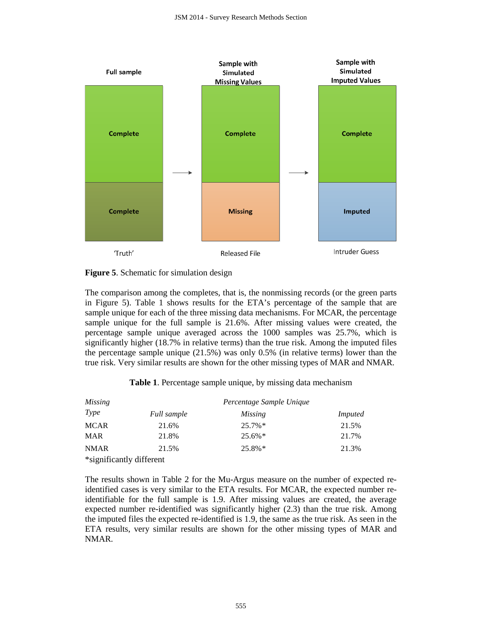

**Figure 5**. Schematic for simulation design

The comparison among the completes, that is, the nonmissing records (or the green parts in Figure 5). Table 1 shows results for the ETA's percentage of the sample that are sample unique for each of the three missing data mechanisms. For MCAR, the percentage sample unique for the full sample is 21.6%. After missing values were created, the percentage sample unique averaged across the 1000 samples was 25.7%, which is significantly higher (18.7% in relative terms) than the true risk. Among the imputed files the percentage sample unique (21.5%) was only 0.5% (in relative terms) lower than the true risk. Very similar results are shown for the other missing types of MAR and NMAR.

**Table 1**. Percentage sample unique, by missing data mechanism

| Missing                  | Percentage Sample Unique |            |                |  |
|--------------------------|--------------------------|------------|----------------|--|
| Type                     | Full sample              | Missing    | <i>Imputed</i> |  |
| <b>MCAR</b>              | 21.6%                    | $25.7\%*$  | 21.5%          |  |
| <b>MAR</b>               | 21.8%                    | $25.6\%$ * | 21.7%          |  |
| <b>NMAR</b>              | 21.5%                    | $25.8\%*$  | 21.3%          |  |
| *significantly different |                          |            |                |  |

The results shown in Table 2 for the Mu-Argus measure on the number of expected reidentified cases is very similar to the ETA results. For MCAR, the expected number reidentifiable for the full sample is 1.9. After missing values are created, the average expected number re-identified was significantly higher (2.3) than the true risk. Among the imputed files the expected re-identified is 1.9, the same as the true risk. As seen in the ETA results, very similar results are shown for the other missing types of MAR and NMAR.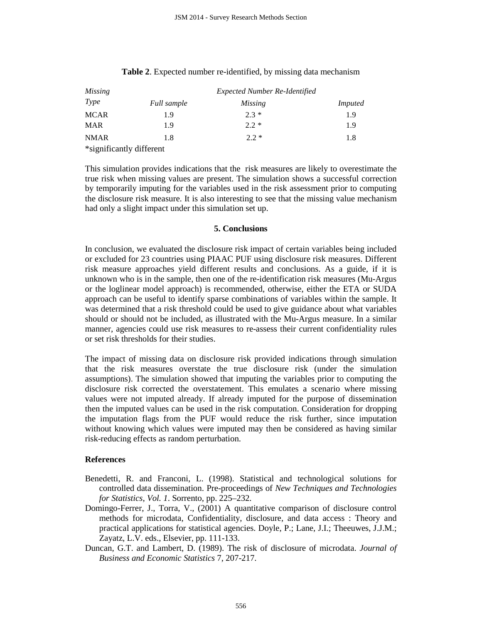| <i>Missing</i>           | <b>Expected Number Re-Identified</b> |         |                |  |
|--------------------------|--------------------------------------|---------|----------------|--|
| Type                     | Full sample                          | Missing | <i>Imputed</i> |  |
| <b>MCAR</b>              | 1.9                                  | $2.3*$  | 1.9            |  |
| <b>MAR</b>               | 1.9                                  | $2.2*$  | 1.9            |  |
| <b>NMAR</b>              | 1.8                                  | $2.2*$  | 1.8            |  |
| *significantly different |                                      |         |                |  |

## **Table 2**. Expected number re-identified, by missing data mechanism

This simulation provides indications that the risk measures are likely to overestimate the true risk when missing values are present. The simulation shows a successful correction by temporarily imputing for the variables used in the risk assessment prior to computing the disclosure risk measure. It is also interesting to see that the missing value mechanism had only a slight impact under this simulation set up.

## **5. Conclusions**

In conclusion, we evaluated the disclosure risk impact of certain variables being included or excluded for 23 countries using PIAAC PUF using disclosure risk measures. Different risk measure approaches yield different results and conclusions. As a guide, if it is unknown who is in the sample, then one of the re-identification risk measures (Mu-Argus or the loglinear model approach) is recommended, otherwise, either the ETA or SUDA approach can be useful to identify sparse combinations of variables within the sample. It was determined that a risk threshold could be used to give guidance about what variables should or should not be included, as illustrated with the Mu-Argus measure. In a similar manner, agencies could use risk measures to re-assess their current confidentiality rules or set risk thresholds for their studies.

The impact of missing data on disclosure risk provided indications through simulation that the risk measures overstate the true disclosure risk (under the simulation assumptions). The simulation showed that imputing the variables prior to computing the disclosure risk corrected the overstatement. This emulates a scenario where missing values were not imputed already. If already imputed for the purpose of dissemination then the imputed values can be used in the risk computation. Consideration for dropping the imputation flags from the PUF would reduce the risk further, since imputation without knowing which values were imputed may then be considered as having similar risk-reducing effects as random perturbation.

## **References**

- Benedetti, R. and Franconi, L. (1998). Statistical and technological solutions for controlled data dissemination. Pre-proceedings of *New Techniques and Technologies for Statistics*, *Vol. 1*. Sorrento, pp. 225–232.
- Domingo-Ferrer, J., Torra, V., (2001) A quantitative comparison of disclosure control methods for microdata, Confidentiality, disclosure, and data access : Theory and practical applications for statistical agencies. Doyle, P.; Lane, J.I.; Theeuwes, J.J.M.; Zayatz, L.V. eds., Elsevier, pp. 111-133.
- Duncan, G.T. and Lambert, D. (1989). The risk of disclosure of microdata. *Journal of Business and Economic Statistics* 7, 207-217.